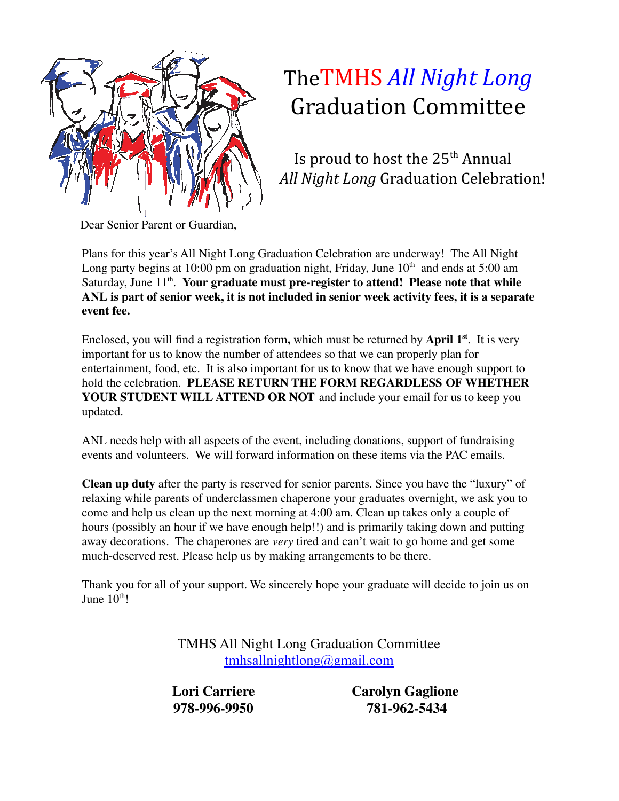

## TheTMHS *All Night Long* Graduation Committee

Is proud to host the 25<sup>th</sup> Annual *All Night Long* Graduation Celebration!

Dear Senior Parent or Guardian,

Plans for this year's All Night Long Graduation Celebration are underway! The All Night Long party begins at 10:00 pm on graduation night, Friday, June  $10<sup>th</sup>$  and ends at 5:00 am Saturday, June 11<sup>th</sup>. Your graduate must pre-register to attend! Please note that while **ANL is part of senior week, it is not included in senior week activity fees, it is a separate event fee.**

Enclosed, you will find a registration form**,** which must be returned by **April 1 st** . It is very important for us to know the number of attendees so that we can properly plan for entertainment, food, etc. It is also important for us to know that we have enough support to hold the celebration. **PLEASE RETURN THE FORM REGARDLESS OF WHETHER YOUR STUDENT WILL ATTEND OR NOT** and include your email for us to keep you updated.

ANL needs help with all aspects of the event, including donations, support of fundraising events and volunteers. We will forward information on these items via the PAC emails.

**Clean up duty** after the party is reserved for senior parents. Since you have the "luxury" of relaxing while parents of underclassmen chaperone your graduates overnight, we ask you to come and help us clean up the next morning at 4:00 am. Clean up takes only a couple of hours (possibly an hour if we have enough help!!) and is primarily taking down and putting away decorations. The chaperones are *very* tired and can't wait to go home and get some much-deserved rest. Please help us by making arrangements to be there.

Thank you for all of your support. We sincerely hope your graduate will decide to join us on June  $10^{\text{th}}!$ 

> TMHS All Night Long Graduation Committee [tmhsallnightlong@gmail.com](mailto:tmhsallnightlong@gmail.com)

**978-996-9950 781-962-5434**

**Lori Carriere Carolyn Gaglione**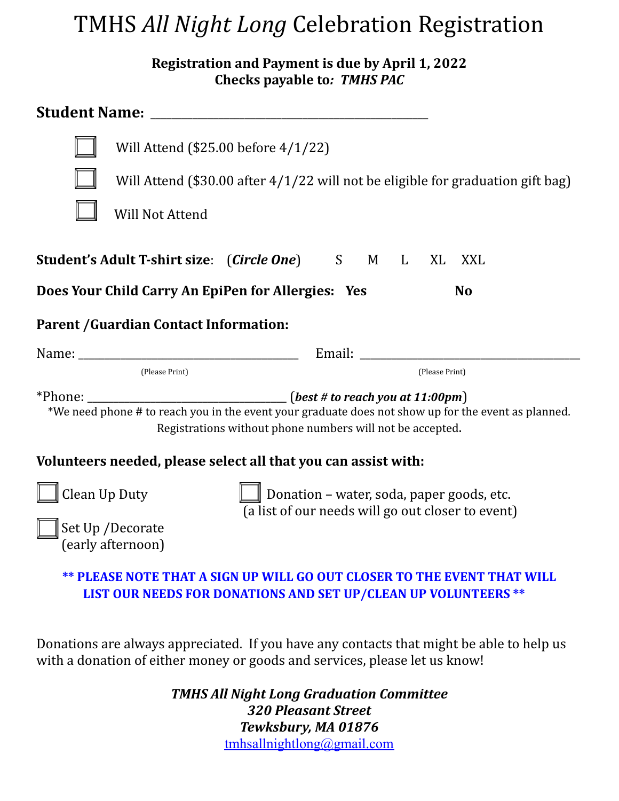### TMHS *All Night Long* Celebration Registration

**Registration and Payment is due by April 1, 2022 Checks payable to***: TMHS PAC*

|                                                                                                                                                                                                                                               | Will Attend (\$25.00 before 4/1/22)                                               |  |                |  |
|-----------------------------------------------------------------------------------------------------------------------------------------------------------------------------------------------------------------------------------------------|-----------------------------------------------------------------------------------|--|----------------|--|
|                                                                                                                                                                                                                                               | Will Attend (\$30.00 after $4/1/22$ will not be eligible for graduation gift bag) |  |                |  |
| <b>Will Not Attend</b>                                                                                                                                                                                                                        |                                                                                   |  |                |  |
| Student's Adult T-shirt size: (Circle One) S M L XL XXL                                                                                                                                                                                       |                                                                                   |  |                |  |
| Does Your Child Carry An EpiPen for Allergies: Yes<br><b>No</b>                                                                                                                                                                               |                                                                                   |  |                |  |
| <b>Parent / Guardian Contact Information:</b>                                                                                                                                                                                                 |                                                                                   |  |                |  |
|                                                                                                                                                                                                                                               |                                                                                   |  |                |  |
| (Please Print)                                                                                                                                                                                                                                |                                                                                   |  | (Please Print) |  |
| *Phone: _________________________________(best # to reach you at 11:00pm)<br>*We need phone # to reach you in the event your graduate does not show up for the event as planned.<br>Registrations without phone numbers will not be accepted. |                                                                                   |  |                |  |
| Volunteers needed, please select all that you can assist with:                                                                                                                                                                                |                                                                                   |  |                |  |
| Clean Up Duty<br>Donation - water, soda, paper goods, etc.<br>(a list of our needs will go out closer to event)<br>Set Up / Decorate<br>(early afternoon)                                                                                     |                                                                                   |  |                |  |
| ** PLEASE NOTE THAT A SIGN UP WILL GO OUT CLOSER TO THE EVENT THAT WILL<br>LIST OUR NEEDS FOR DONATIONS AND SET UP/CLEAN UP VOLUNTEERS **                                                                                                     |                                                                                   |  |                |  |
| Donations are always appreciated. If you have any contacts that might be able to help us<br>with a donation of either money or goods and services, please let us know!                                                                        |                                                                                   |  |                |  |
| <b>TMHS All Night Long Graduation Committee</b><br><b>320 Pleasant Street</b>                                                                                                                                                                 |                                                                                   |  |                |  |

*Tewksbury, MA 01876* [tmhsallnightlong@gmail.com](mailto:tmhsallnightlong@gmail.com)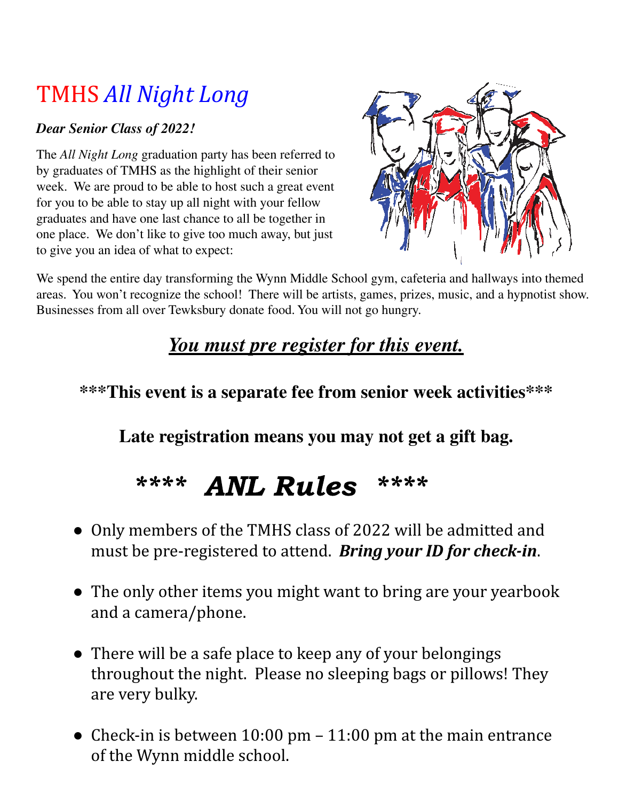# TMHS *All Night Long*

#### *Dear Senior Class of 2022!*

The *All Night Long* graduation party has been referred to by graduates of TMHS as the highlight of their senior week. We are proud to be able to host such a great event for you to be able to stay up all night with your fellow graduates and have one last chance to all be together in one place. We don't like to give too much away, but just to give you an idea of what to expect:



We spend the entire day transforming the Wynn Middle School gym, cafeteria and hallways into themed areas. You won't recognize the school! There will be artists, games, prizes, music, and a hypnotist show. Businesses from all over Tewksbury donate food. You will not go hungry.

#### *You must pre register for this event.*

#### **\*\*\*This event is a separate fee from senior week activities\*\*\***

**Late registration means you may not get a gift bag.**

# \*\*\*\* ANL Rules \*\*\*\*

- Only members of the TMHS class of 2022 will be admitted and must be pre-registered to attend. *Bring your ID for check-in*.
- The only other items you might want to bring are your yearbook and a camera/phone.
- There will be a safe place to keep any of your belongings throughout the night. Please no sleeping bags or pillows! They are very bulky.
- Check-in is between  $10:00 \text{ pm} 11:00 \text{ pm}$  at the main entrance of the Wynn middle school.